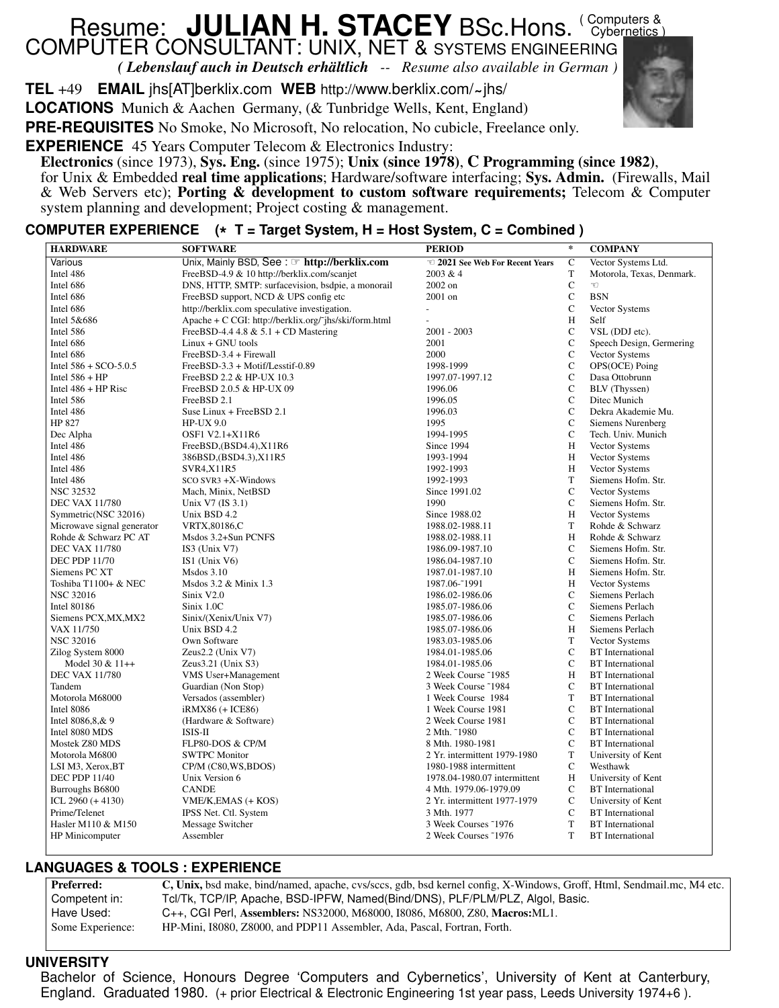# Resume: **JULIAN H. STACEY** BSc.Hons. (Computers & COMPUTER CONSULTANT: UNIX, NET & SYSTEMS ENGINEERING

*( Lebenslauf auch in Deutsch erhältlich -- Resume also available in German )*

**TEL** +49 **EMAIL** jhs[AT]berklix.com WEB http://www.berklix.com/~jhs/

˜ **LOCATIONS** Munich & Aachen Germany, (& Tunbridge Wells, Kent, England)

**PRE-REQUISITES** No Smoke, No Microsoft, No relocation, No cubicle, Freelance only.

**EXPERIENCE** 45 Years Computer Telecom & Electronics Industry:

**Electronics** (since 1973), **Sys. Eng.** (since 1975); **Unix (since 1978)**, **C Programming (since 1982)**,

for Unix & Embedded **real time applications**; Hardware/software interfacing; **Sys. Admin.** (Firewalls, Mail & Web Servers etc); **Porting & development to custom software requirements;** Telecom & Computer system planning and development; Project costing & management.

# **COMPUTER EXPERIENCE ( \* T=Target System, H = Host System, C = Combined )**

| <b>HARDWARE</b>                                | <b>SOFTWARE</b>                                       | <b>PERIOD</b>                      | $\ast$            | <b>COMPANY</b>                                     |
|------------------------------------------------|-------------------------------------------------------|------------------------------------|-------------------|----------------------------------------------------|
| Various                                        | Unix, Mainly BSD, See: <a> http://berklix.com</a>     | 2021 See Web For Recent Years      | $\overline{C}$    | Vector Systems Ltd.                                |
| Intel 486                                      | FreeBSD-4.9 & 10 http://berklix.com/scanjet           | 2003 & 4                           | $\mathbf T$       | Motorola, Texas, Denmark.                          |
| Intel 686                                      | DNS, HTTP, SMTP: surfacevision, bsdpie, a monorail    | 2002 on                            | $\mathbf C$       |                                                    |
| Intel 686                                      | FreeBSD support, NCD & UPS config etc                 | 2001 on                            | $\mathbf C$       | <b>BSN</b>                                         |
| Intel 686                                      | http://berklix.com speculative investigation.         | $\overline{a}$                     | $\mathbf C$       | Vector Systems                                     |
| Intel 5&686                                    | Apache + C CGI: http://berklix.org/~jhs/ski/form.html | $\blacksquare$                     | Η                 | Self                                               |
| Intel 586                                      | FreeBSD-4.4 4.8 $& 5.1 + CD$ Mastering                | 2001 - 2003                        | $\mathbf C$       | VSL (DDJ etc).                                     |
| Intel 686                                      | Linux + GNU tools                                     | 2001                               | $\mathbf C$       | Speech Design, Germering                           |
| Intel 686                                      | FreeBSD-3.4 + Firewall                                | 2000                               | $\mathbf C$       | Vector Systems                                     |
| Intel 586 + SCO-5.0.5                          | FreeBSD-3.3 + Motif/Lesstif-0.89                      | 1998-1999                          | $\mathbf C$       | OPS(OCE) Poing                                     |
| Intel $586 + HP$                               | FreeBSD 2.2 & HP-UX 10.3                              | 1997.07-1997.12                    | $\mathbf C$       | Dasa Ottobrunn                                     |
| Intel $486 + HP$ Risc                          | FreeBSD 2.0.5 & HP-UX 09                              | 1996.06                            | $\mathbf C$       | BLV (Thyssen)                                      |
| Intel 586                                      | FreeBSD 2.1                                           | 1996.05                            | $\mathbf C$       | Ditec Munich                                       |
| Intel 486                                      | Suse Linux + FreeBSD 2.1                              | 1996.03                            | $\mathbf C$       | Dekra Akademie Mu.                                 |
| HP 827                                         | <b>HP-UX 9.0</b>                                      | 1995                               | $\mathsf{C}$      | <b>Siemens Nurenberg</b>                           |
| Dec Alpha                                      | OSF1 V2.1+X11R6                                       | 1994-1995                          | $\mathbf C$       | Tech. Univ. Munich                                 |
| Intel 486                                      | $FreeBSD$ , $(BSD4.4)$ , $X11R6$                      | Since 1994                         | H                 | Vector Systems                                     |
| Intel 486                                      | 386BSD, (BSD4.3), X11R5                               | 1993-1994                          | H                 | Vector Systems                                     |
| Intel 486                                      | SVR4, X11R5                                           | 1992-1993                          | Η                 | Vector Systems                                     |
| Intel 486                                      | SCO SVR3 +X-Windows                                   | 1992-1993                          | T                 | Siemens Hofm. Str.                                 |
| <b>NSC 32532</b>                               | Mach, Minix, NetBSD                                   | Since 1991.02                      | $\mathbf C$       | Vector Systems                                     |
| <b>DEC VAX 11/780</b>                          | Unix V7 (IS 3.1)                                      | 1990                               | $\mathbf C$       | Siemens Hofm. Str.                                 |
| Symmetric(NSC 32016)                           | Unix BSD 4.2                                          | Since 1988.02                      | H                 | Vector Systems                                     |
| Microwave signal generator                     | VRTX,80186,C                                          | 1988.02-1988.11                    | T                 | Rohde & Schwarz                                    |
|                                                |                                                       |                                    | H                 | Rohde & Schwarz                                    |
| Rohde & Schwarz PC AT<br><b>DEC VAX 11/780</b> | Msdos 3.2+Sun PCNFS                                   | 1988.02-1988.11                    | $\mathbf C$       | Siemens Hofm. Str.                                 |
| <b>DEC PDP 11/70</b>                           | IS3 (Unix V7)<br>IS1 (Unix $V_6$ )                    | 1986.09-1987.10<br>1986.04-1987.10 | $\mathbf C$       | Siemens Hofm. Str.                                 |
| Siemens PC XT                                  | <b>Msdos 3.10</b>                                     |                                    | H                 | Siemens Hofm. Str.                                 |
| Toshiba T1100+ & NEC                           | Msdos 3.2 & Minix 1.3                                 | 1987.01-1987.10<br>1987.06-~1991   | H                 | Vector Systems                                     |
| <b>NSC 32016</b>                               |                                                       |                                    | $\mathbf C$       | Siemens Perlach                                    |
| Intel 80186                                    | Sinix V2.0<br>Sinix 1.0C                              | 1986.02-1986.06<br>1985.07-1986.06 | $\mathbf C$       | Siemens Perlach                                    |
| Siemens PCX, MX, MX2                           | Sinix/(Xenix/Unix V7)                                 |                                    | $\mathbf C$       | Siemens Perlach                                    |
| VAX 11/750                                     | Unix BSD 4.2                                          | 1985.07-1986.06<br>1985.07-1986.06 | H                 | Siemens Perlach                                    |
| <b>NSC 32016</b>                               | Own Software                                          | 1983.03-1985.06                    | T                 | Vector Systems                                     |
|                                                |                                                       |                                    | $\mathbf C$       |                                                    |
| Zilog System 8000                              | Zeus2.2 (Unix V7)                                     | 1984.01-1985.06                    | $\mathbf C$       | <b>BT</b> International<br><b>BT</b> International |
| Model 30 $& 11++$                              | Zeus3.21 (Unix S3)                                    | 1984.01-1985.06                    | H                 |                                                    |
| <b>DEC VAX 11/780</b>                          | <b>VMS</b> User+Management                            | 2 Week Course ~1985                |                   | <b>BT</b> International                            |
| Tandem                                         | Guardian (Non Stop)                                   | 3 Week Course ~1984                | $\mathsf{C}$<br>T | <b>BT</b> International                            |
| Motorola M68000                                | Versados (assembler)                                  | 1 Week Course 1984                 |                   | <b>BT</b> International                            |
| Intel 8086                                     | iRMX86 (+ ICE86)                                      | 1 Week Course 1981                 | $\mathbf C$       | <b>BT</b> International                            |
| Intel $8086, 8, 8, 9$                          | (Hardware & Software)                                 | 2 Week Course 1981                 | $\mathbf C$       | <b>BT</b> International                            |
| Intel 8080 MDS                                 | ISIS-II                                               | 2 Mth. ~1980                       | $\mathbf C$       | <b>BT</b> International                            |
| Mostek Z80 MDS                                 | FLP80-DOS & CP/M                                      | 8 Mth. 1980-1981                   | $\mathbf C$       | <b>BT</b> International                            |
| Motorola M6800                                 | <b>SWTPC Monitor</b>                                  | 2 Yr. intermittent 1979-1980       | T                 | University of Kent                                 |
| LSI M3, Xerox, BT                              | CP/M (C80, WS, BDOS)                                  | 1980-1988 intermittent             | $\mathsf{C}$      | Westhawk                                           |
| <b>DEC PDP 11/40</b>                           | Unix Version 6                                        | 1978.04-1980.07 intermittent       | H                 | University of Kent                                 |
| Burroughs B6800                                | <b>CANDE</b>                                          | 4 Mth. 1979.06-1979.09             | $\mathbf C$       | <b>BT</b> International                            |
| ICL $2960 (+4130)$                             | VME/K, EMAS (+ KOS)                                   | 2 Yr. intermittent 1977-1979       | $\mathbf C$       | University of Kent                                 |
| Prime/Telenet                                  | IPSS Net. Ctl. System                                 | 3 Mth. 1977                        | $\mathbf C$       | <b>BT</b> International                            |
| Hasler M110 & M150                             | Message Switcher                                      | 3 Week Courses ~1976               | T                 | <b>BT</b> International                            |
| <b>HP</b> Minicomputer                         | Assembler                                             | 2 Week Courses ~1976               | T                 | <b>BT</b> International                            |

## **LANGUAGES & TOOLS : EXPERIENCE**

**Preferred: C, Unix,** bsd make, bind/named, apache, cvs/sccs, gdb, bsd kernel config, X-Windows, Groff, Html, Sendmail.mc, M4 etc. Competent in: Tcl/Tk, TCP/IP, Apache, BSD-IPFW, Named(Bind/DNS), PLF/PLM/PLZ, Algol, Basic. Have Used: C++, CGI Perl, Assemblers: NS32000, M68000, I8086, M6800, Z80, Macros: ML1. Some Experience: HP-Mini, I8080, Z8000, and PDP11 Assembler, Ada, Pascal, Fortran, Forth.

### **UNIVERSITY**

Bachelor of Science, Honours Degree 'Computers and Cybernetics', University of Kent at Canterbury, England. Graduated 1980. (+ prior Electrical & Electronic Engineering 1st year pass, Leeds University 1974+6 ).

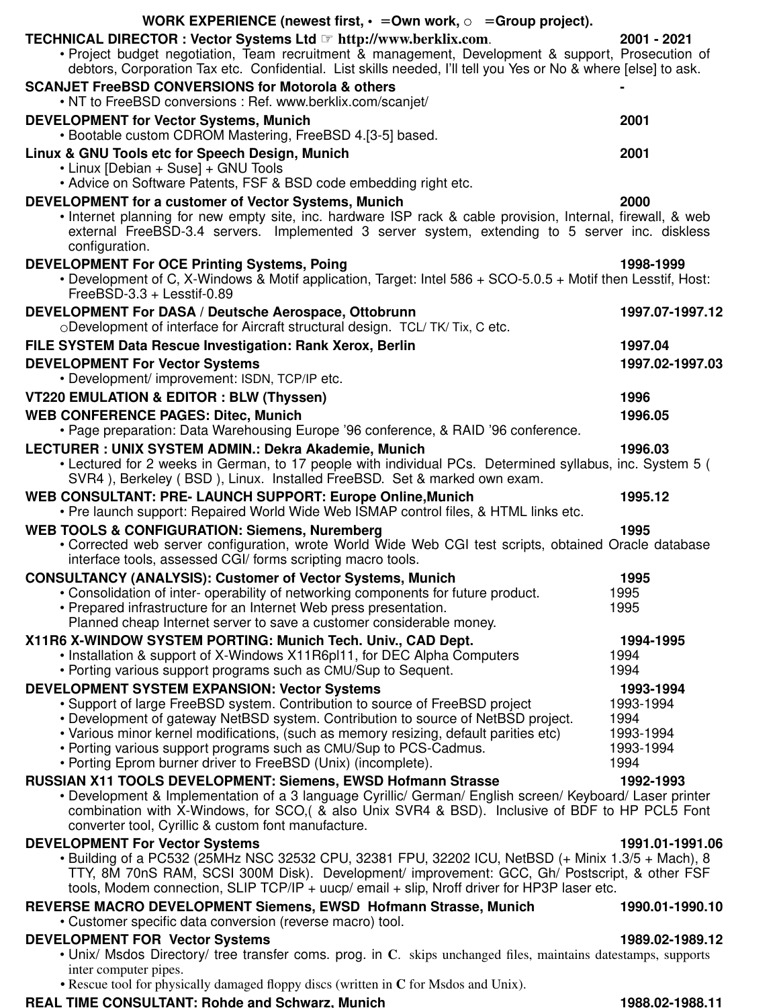| WORK EXPERIENCE (newest first, $\cdot$ = Own work, $\circ$ = Group project).                                                                                                                                                                                       |                   |
|--------------------------------------------------------------------------------------------------------------------------------------------------------------------------------------------------------------------------------------------------------------------|-------------------|
| TECHNICAL DIRECTOR : Vector Systems Ltd & http://www.berklix.com.                                                                                                                                                                                                  | 2001 - 2021       |
| • Project budget negotiation, Team recruitment & management, Development & support, Prosecution of                                                                                                                                                                 |                   |
| debtors, Corporation Tax etc. Confidential. List skills needed, I'll tell you Yes or No & where [else] to ask.                                                                                                                                                     |                   |
| <b>SCANJET FreeBSD CONVERSIONS for Motorola &amp; others</b><br>• NT to FreeBSD conversions : Ref. www.berklix.com/scanjet/                                                                                                                                        |                   |
| <b>DEVELOPMENT for Vector Systems, Munich</b><br>• Bootable custom CDROM Mastering, FreeBSD 4.[3-5] based.                                                                                                                                                         | 2001              |
| Linux & GNU Tools etc for Speech Design, Munich                                                                                                                                                                                                                    | 2001              |
| • Linux [Debian + Suse] + GNU Tools<br>• Advice on Software Patents, FSF & BSD code embedding right etc.                                                                                                                                                           |                   |
| DEVELOPMENT for a customer of Vector Systems, Munich                                                                                                                                                                                                               | 2000              |
| • Internet planning for new empty site, inc. hardware ISP rack & cable provision, Internal, firewall, & web<br>external FreeBSD-3.4 servers. Implemented 3 server system, extending to 5 server inc. diskless<br>configuration.                                    |                   |
| <b>DEVELOPMENT For OCE Printing Systems, Poing</b>                                                                                                                                                                                                                 | 1998-1999         |
| • Development of C, X-Windows & Motif application, Target: Intel 586 + SCO-5.0.5 + Motif then Lesstif, Host:<br>FreeBSD-3.3 + Lesstif-0.89                                                                                                                         |                   |
| DEVELOPMENT For DASA / Deutsche Aerospace, Ottobrunn<br>ODevelopment of interface for Aircraft structural design. TCL/TK/Tix, C etc.                                                                                                                               | 1997.07-1997.12   |
| FILE SYSTEM Data Rescue Investigation: Rank Xerox, Berlin                                                                                                                                                                                                          | 1997.04           |
| <b>DEVELOPMENT For Vector Systems</b><br>• Development/ improvement: ISDN, TCP/IP etc.                                                                                                                                                                             | 1997.02-1997.03   |
| VT220 EMULATION & EDITOR : BLW (Thyssen)                                                                                                                                                                                                                           | 1996              |
| <b>WEB CONFERENCE PAGES: Ditec, Munich</b>                                                                                                                                                                                                                         | 1996.05           |
| • Page preparation: Data Warehousing Europe '96 conference, & RAID '96 conference.                                                                                                                                                                                 |                   |
| LECTURER : UNIX SYSTEM ADMIN.: Dekra Akademie, Munich                                                                                                                                                                                                              | 1996.03           |
| • Lectured for 2 weeks in German, to 17 people with individual PCs. Determined syllabus, inc. System 5 (<br>SVR4), Berkeley (BSD), Linux. Installed FreeBSD. Set & marked own exam.                                                                                |                   |
| WEB CONSULTANT: PRE- LAUNCH SUPPORT: Europe Online, Munich<br>• Pre launch support: Repaired World Wide Web ISMAP control files, & HTML links etc.                                                                                                                 | 1995.12           |
| <b>WEB TOOLS &amp; CONFIGURATION: Siemens, Nuremberg</b>                                                                                                                                                                                                           | 1995              |
| • Corrected web server configuration, wrote World Wide Web CGI test scripts, obtained Oracle database<br>interface tools, assessed CGI/ forms scripting macro tools.                                                                                               |                   |
| <b>CONSULTANCY (ANALYSIS): Customer of Vector Systems, Munich</b>                                                                                                                                                                                                  | 1995              |
| • Consolidation of inter- operability of networking components for future product.<br>• Prepared infrastructure for an Internet Web press presentation.                                                                                                            | 1995<br>1995      |
| Planned cheap Internet server to save a customer considerable money.                                                                                                                                                                                               |                   |
| X11R6 X-WINDOW SYSTEM PORTING: Munich Tech. Univ., CAD Dept.                                                                                                                                                                                                       | 1994-1995         |
| • Installation & support of X-Windows X11R6pl11, for DEC Alpha Computers                                                                                                                                                                                           | 1994              |
| • Porting various support programs such as CMU/Sup to Sequent.<br>DEVELOPMENT SYSTEM EXPANSION: Vector Systems                                                                                                                                                     | 1994<br>1993-1994 |
| • Support of large FreeBSD system. Contribution to source of FreeBSD project                                                                                                                                                                                       | 1993-1994         |
| • Development of gateway NetBSD system. Contribution to source of NetBSD project.                                                                                                                                                                                  | 1994              |
| • Various minor kernel modifications, (such as memory resizing, default parities etc)<br>• Porting various support programs such as CMU/Sup to PCS-Cadmus.                                                                                                         | 1993-1994         |
| • Porting Eprom burner driver to FreeBSD (Unix) (incomplete).                                                                                                                                                                                                      | 1993-1994<br>1994 |
| RUSSIAN X11 TOOLS DEVELOPMENT: Siemens, EWSD Hofmann Strasse                                                                                                                                                                                                       | 1992-1993         |
| • Development & Implementation of a 3 language Cyrillic/ German/ English screen/ Keyboard/ Laser printer<br>combination with X-Windows, for SCO, (& also Unix SVR4 & BSD). Inclusive of BDF to HP PCL5 Font<br>converter tool, Cyrillic & custom font manufacture. |                   |
| <b>DEVELOPMENT For Vector Systems</b>                                                                                                                                                                                                                              | 1991.01-1991.06   |
| • Building of a PC532 (25MHz NSC 32532 CPU, 32381 FPU, 32202 ICU, NetBSD (+ Minix 1.3/5 + Mach), 8                                                                                                                                                                 |                   |
| TTY, 8M 70nS RAM, SCSI 300M Disk). Development/ improvement: GCC, Gh/ Postscript, & other FSF<br>tools, Modem connection, SLIP TCP/IP + uucp/ email + slip, Nroff driver for HP3P laser etc.                                                                       |                   |
| REVERSE MACRO DEVELOPMENT Siemens, EWSD Hofmann Strasse, Munich                                                                                                                                                                                                    | 1990.01-1990.10   |
| • Customer specific data conversion (reverse macro) tool.                                                                                                                                                                                                          |                   |
| <b>DEVELOPMENT FOR Vector Systems</b>                                                                                                                                                                                                                              | 1989.02-1989.12   |
| • Unix/ Msdos Directory/ tree transfer coms. prog. in C. skips unchanged files, maintains datestamps, supports<br>inter computer pipes.                                                                                                                            |                   |

• Rescue tool for physically damaged floppy discs (written in **C** for Msdos and Unix).

#### **TANT: Rohde and Schwarz, Munich 1988.02-1988.02-1988.11**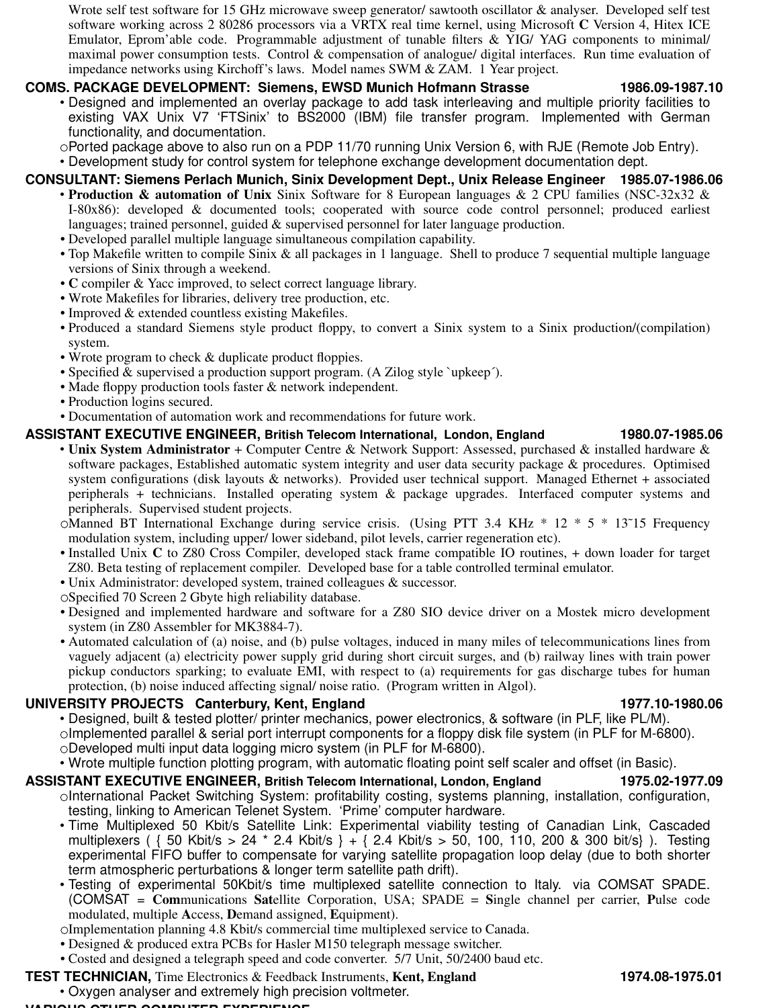Wrote self test software for 15 GHz microwave sweep generator/ sawtooth oscillator & analyser. Developed self test software working across 2 80286 processors via a VRTX real time kernel, using Microsoft **C** Version 4, Hitex ICE Emulator, Eprom'able code. Programmable adjustment of tunable filters & YIG/ YAG components to minimal/ maximal power consumption tests. Control & compensation of analogue/ digital interfaces. Run time evaluation of impedance networks using Kirchoff's laws. Model names SWM & ZAM. 1 Year project.

## **COMS. PACKAGE DEVELOPMENT: Siemens, EWSD Munich Hofmann Strasse**  $1986.09-1987.10$

• Designed and implemented an overlay package to add task interleaving and multiple priority facilities to existing VAX Unix V7 'FTSinix' to BS2000 (IBM) file transfer program. Implemented with German functionality, and documentation.

- Ported package above to also run on a PDP 11/70 running Unix Version 6, with RJE (Remote Job Entry).
- Development study for control system for telephone exchange development documentation dept.

## **CONSULTANT: Siemens Perlach Munich, Sinix Development Dept., Unix Release Engineer** 1985.07-1986.06

- **Production & automation of Unix** Sinix Software for 8 European languages & 2 CPU families (NSC-32x32 & I-80x86): developed & documented tools; cooperated with source code control personnel; produced earliest languages; trained personnel, guided & supervised personnel for later language production.
- Developed parallel multiple language simultaneous compilation capability.
- Top Makefile written to compile Sinix & all packages in 1 language. Shell to produce 7 sequential multiple language versions of Sinix through a weekend.
- **C** compiler & Yacc improved, to select correct language library.
- Wrote Makefiles for libraries, delivery tree production, etc.
- Improved & extended countless existing Makefiles.
- Produced a standard Siemens style product floppy, to convert a Sinix system to a Sinix production/(compilation) system.
- Wrote program to check & duplicate product floppies.
- Specified & supervised a production support program. (A Zilog style `upkeep´).
- Made floppy production tools faster & network independent.
- Production logins secured.
- Documentation of automation work and recommendations for future work.

## **BRIGHTER TELECOM INTERNATION INTERNATION INTERNATIONALLY INTERNATION IN EXECUTIVE ENGINEER, British Telecom International, London, England 1980.07-1985.06**

- **Unix System Administrator** + Computer Centre & Network Support: Assessed, purchased & installed hardware & software packages, Established automatic system integrity and user data security package & procedures. Optimised system configurations (disk layouts & networks). Provided user technical support. Managed Ethernet + associated peripherals + technicians. Installed operating system & package upgrades. Interfaced computer systems and peripherals. Supervised student projects.
- Manned BT International Exchange during service crisis. (Using PTT 3.4 KHz \* 12 \* 5 \* 13˜15 Frequency modulation system, including upper/ lower sideband, pilot levels, carrier regeneration etc).
- Installed Unix C to Z80 Cross Compiler, developed stack frame compatible IO routines, + down loader for target Z80. Beta testing of replacement compiler. Developed base for a table controlled terminal emulator.
- Unix Administrator: developed system, trained colleagues & successor.
- Specified 70 Screen 2 Gbyte high reliability database.
- Designed and implemented hardware and software for a Z80 SIO device driver on a Mostek micro development system (in Z80 Assembler for MK3884-7).
- Automated calculation of (a) noise, and (b) pulse voltages, induced in many miles of telecommunications lines from vaguely adjacent (a) electricity power supply grid during short circuit surges, and (b) railway lines with train power pickup conductors sparking; to evaluate EMI, with respect to (a) requirements for gas discharge tubes for human protection, (b) noise induced affecting signal/ noise ratio. (Program written in Algol).

## **OUTERSITY PROJECTS Canterbury, Kent, England 1977.10-1980.06** 1977.10-1980.06

• Designed, built & tested plotter/ printer mechanics, power electronics, & software (in PLF, like PL/M).  $\circ$ Implemented parallel & serial port interrupt components for a floppy disk file system (in PLF for M-6800). Developed multi input data logging micro system (in PLF for M-6800).

• Wrote multiple function plotting program, with automatic floating point self scaler and offset (in Basic).

## **BRIGHT AND TELECOM INTERNATION INTERNATION INTERNATIONS IN EXTENCING THE ENGINEER, BRITT ASSISTANT EXECUTIVE ENGINEER, British Telecom International, London, England 1975.02-1977.09**

- oInternational Packet Switching System: profitability costing, systems planning, installation, configuration, testing, linking to American Telenet System. 'Prime' computer hardware.
- Time Multiplexed 50 Kbit/s Satellite Link: Experimental viability testing of Canadian Link, Cascaded multiplexers ( { 50 Kbit/s > 24 \* 2.4 Kbit/s } + { 2.4 Kbit/s > 50, 100, 110, 200 & 300 bit/s} ). Testing experimental FIFO buffer to compensate for varying satellite propagation loop delay (due to both shorter term atmospheric perturbations & longer term satellite path drift).
- Testing of experimental 50Kbit/s time multiplexed satellite connection to Italy. via COMSAT SPADE. (COMSAT = **Com**munications **Sat**ellite Corporation, USA; SPADE = **S**ingle channel per carrier, **P**ulse code modulated, multiple **A**ccess, **D**emand assigned, **E**quipment).

Implementation planning 4.8 Kbit/s commercial time multiplexed service to Canada.

- Designed & produced extra PCBs for Hasler M150 telegraph message switcher.
- Costed and designed a telegraph speed and code converter. 5/7 Unit, 50/2400 baud etc.

## **TEST TECHNICIAN,** Time Electronics & Feedback Instruments, **Kent, England 1974.08-1975.01 1974.08-1975.01**

**VARIOUS OTHER COMPUTER EXPERIENCE**

• Oxygen analyser and extremely high precision voltmeter.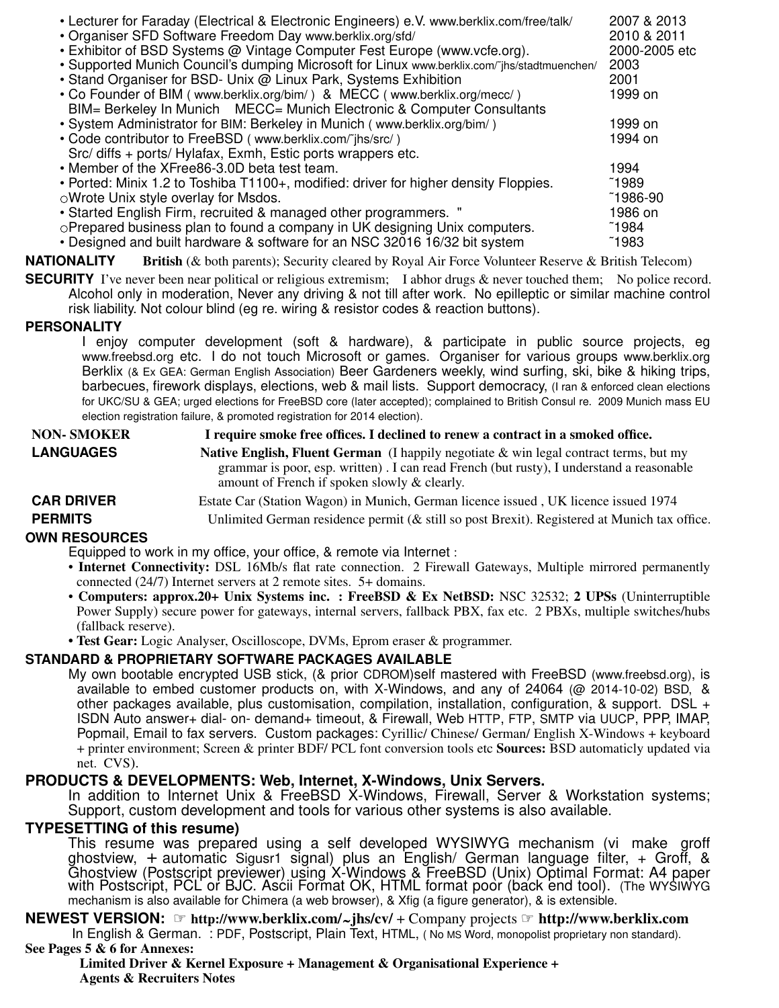| • Lecturer for Faraday (Electrical & Electronic Engineers) e.V. www.berklix.com/free/talk/   | 2007 & 2013   |  |
|----------------------------------------------------------------------------------------------|---------------|--|
| • Organiser SFD Software Freedom Day www.berklix.org/sfd/                                    | 2010 & 2011   |  |
| • Exhibitor of BSD Systems @ Vintage Computer Fest Europe (www.vcfe.org).                    | 2000-2005 etc |  |
| • Supported Munich Council's dumping Microsoft for Linux www.berklix.com/"jhs/stadtmuenchen/ | 2003          |  |
| • Stand Organiser for BSD- Unix @ Linux Park, Systems Exhibition                             | 2001          |  |
| • Co Founder of BIM (www.berklix.org/bim/) & MECC (www.berklix.org/mecc/)                    | 1999 on       |  |
| BIM= Berkeley In Munich MECC= Munich Electronic & Computer Consultants                       |               |  |
| • System Administrator for BIM: Berkeley in Munich (www.berklix.org/bim/)                    | 1999 on       |  |
| • Code contributor to FreeBSD (www.berklix.com/"jhs/src/)                                    | 1994 on       |  |
| Src/ diffs + ports/ Hylafax, Exmh, Estic ports wrappers etc.                                 |               |  |
| • Member of the XFree86-3.0D beta test team.                                                 | 1994          |  |
| • Ported: Minix 1.2 to Toshiba T1100+, modified: driver for higher density Floppies.         |               |  |
| OWrote Unix style overlay for Msdos.                                                         |               |  |
| • Started English Firm, recruited & managed other programmers. "                             |               |  |
| oPrepared business plan to found a company in UK designing Unix computers.                   |               |  |
| • Designed and built hardware & software for an NSC 32016 16/32 bit system                   |               |  |

**NATIONALITY** British (& both parents); Security cleared by Royal Air Force Volunteer Reserve & British Telecom)

**SECURITY** I've never been near political or religious extremism; I abhor drugs  $\&$  never touched them; No police record. Alcohol only in moderation, Never any driving & not till after work. No epilleptic or similar machine control risk liability. Not colour blind (eg re. wiring & resistor codes & reaction buttons).

## **PERSONALITY**

I enjoy computer development (soft & hardware), & participate in public source projects, eg www.freebsd.org etc. I do not touch Microsoft or games. Organiser for various groups www.berklix.org Berklix (& Ex GEA: German English Association) Beer Gardeners weekly, wind surfing, ski, bike & hiking trips, barbecues, firework displays, elections, web & mail lists. Support democracy, (I ran & enforced clean elections for UKC/SU & GEA; urged elections for FreeBSD core (later accepted); complained to British Consul re. 2009 Munich mass EU election registration failure, & promoted registration for 2014 election).

| <b>NON- SMOKER</b>   | I require smoke free offices. I declined to renew a contract in a smoked office.                                                                                                                                                            |  |
|----------------------|---------------------------------------------------------------------------------------------------------------------------------------------------------------------------------------------------------------------------------------------|--|
| <b>LANGUAGES</b>     | <b>Native English, Fluent German</b> (I happily negotiate $\&$ win legal contract terms, but my<br>grammar is poor, esp. written). I can read French (but rusty), I understand a reasonable<br>amount of French if spoken slowly & clearly. |  |
| <b>CAR DRIVER</b>    | Estate Car (Station Wagon) in Munich, German licence issued, UK licence issued 1974                                                                                                                                                         |  |
| <b>PERMITS</b>       | Unlimited German residence permit ( $\&$ still so post Brexit). Registered at Munich tax office.                                                                                                                                            |  |
| <b>OWN RESOURCES</b> |                                                                                                                                                                                                                                             |  |

Equipped to work in my office, your office, & remote via Internet :

- **Internet Connectivity:** DSL 16Mb/s flat rate connection. 2 Firewall Gateways, Multiple mirrored permanently connected (24/7) Internet servers at 2 remote sites. 5+ domains.
- **Computers: approx.20+ Unix Systems inc. : FreeBSD & Ex NetBSD:** NSC 32532; **2 UPSs** (Uninterruptible Power Supply) secure power for gateways, internal servers, fallback PBX, fax etc. 2 PBXs, multiple switches/hubs (fallback reserve).
- **Test Gear:** Logic Analyser, Oscilloscope, DVMs, Eprom eraser & programmer.

## **STANDARD & PROPRIETARY SOFTWARE PACKAGES AVAILABLE**

My own bootable encrypted USB stick, (& prior CDROM)self mastered with FreeBSD (www.freebsd.org), is available to embed customer products on, with X-Windows, and any of 24064 (@ 2014-10-02) BSD, & other packages available, plus customisation, compilation, installation, configuration, & support. DSL + ISDN Auto answer+ dial- on- demand+ timeout, & Firewall, Web HTTP, FTP, SMTP via UUCP, PPP, IMAP, Popmail, Email to fax servers. Custom packages: Cyrillic/ Chinese/ German/ English X-Windows + keyboard + printer environment; Screen & printer BDF/ PCL font conversion tools etc **Sources:** BSD automaticly updated via net. CVS).

## **PRODUCTS & DEVELOPMENTS: Web, Internet, X-Windows, Unix Servers.**

In addition to Internet Unix & FreeBSD X-Windows, Firewall, Server & Workstation systems; Support, custom development and tools for various other systems is also available.

## **TYPESETTING of this resume)**

This resume was prepared using a self developed WYSIWYG mechanism (vi make groff ghostview, + automatic Sigusr1 signal) plus an English/ German language filter,+Groff, & Ghostview (Postscript previewer) using X-Windows & FreeBSD (Unix) Optimal Format: A4 paper with Postscript, PCL or BJC. Asćii Format OK, HTML format poòr (baćk end tool). (The WYSIWYG mechanism is also available for Chimera (a web browser), & Xfig (a figure generator), & is extensible.

**NEWEST VERSION:** ☞ **http://www.berklix.com/ jhs/cv/** + Company projects ☞ **http://www.berklix.com ST VERSION.** Solup://www.berkiix.com/~jns/cv/ + Company projects Solutp://www.berkiix.com<br>In English & German. : PDF, Postscript, Plain Text, HTML, (No MS Word, monopolist proprietary non standard). **See Pages 5 & 6 for Annexes:**

**Limited Driver&Kernel Exposure+Management & Organisational Experience + Agents & Recruiters Notes**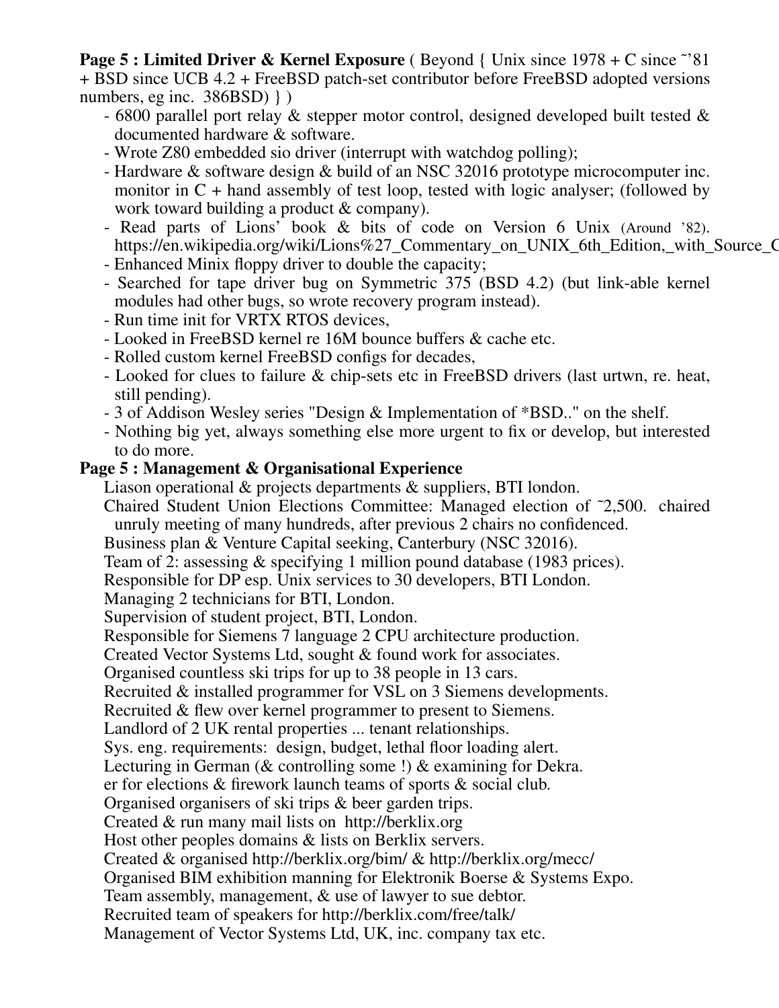**Page 5 : Limited Driver & Kernel Exposure** (Beyond { Unix since 1978 + C since ~'81 + BSD since UCB 4.2 + FreeBSD patch-set contributor before FreeBSD adopted versions numbers, eg inc. 386BSD) } )

- 6800 parallel port relay & stepper motor control, designed developed built tested & documented hardware & software.
- Wrote Z80 embedded sio driver (interrupt with watchdog polling);
- Hardware & software design & build of an NSC 32016 prototype microcomputer inc. monitor in  $C$  + hand assembly of test loop, tested with logic analyser; (followed by work toward building a product & company).
- Read parts of Lions' book & bits of code on Version 6 Unix (Around '82). https://en.wikipedia.org/wiki/Lions%27 Commentary on UNIX 6th Edition, with Source O
- Enhanced Minix floppy driver to double the capacity;
- Searched for tape driver bug on Symmetric 375 (BSD 4.2) (but link-able kernel modules had other bugs, so wrote recovery program instead).
- Run time init for VRTX RTOS devices,
- Looked in FreeBSD kernel re 16M bounce buffers & cache etc.
- Rolled custom kernel FreeBSD configs for decades,
- Looked for clues to failure & chip-sets etc in FreeBSD drivers (last urtwn, re. heat, still pending).
- 3 of Addison Wesley series "Design & Implementation of \*BSD.." on the shelf.
- Nothing big yet, always something else more urgent to fix or develop, but interested to do more.

## **Page 5 : Management & Organisational Experience**

Liason operational & projects departments & suppliers, BTI london.

- Chaired Student Union Elections Committee: Managed election of ˜2,500. chaired unruly meeting of many hundreds, after previous 2 chairs no confidenced.
- Business plan & Venture Capital seeking, Canterbury (NSC 32016).
- Team of 2: assessing & specifying 1 million pound database (1983 prices).
- Responsible for DP esp. Unix services to 30 developers, BTI London.

Managing 2 technicians for BTI, London.

- Supervision of student project, BTI, London.
- Responsible for Siemens 7 language 2 CPU architecture production.

Created Vector Systems Ltd, sought & found work for associates.

Organised countless ski trips for up to 38 people in 13 cars.

Recruited & installed programmer for VSL on 3 Siemens developments.

Recruited & flew over kernel programmer to present to Siemens.

Landlord of 2 UK rental properties ... tenant relationships.

Sys. eng. requirements: design, budget, lethal floor loading alert.

Lecturing in German (& controlling some !) & examining for Dekra.

er for elections & firework launch teams of sports & social club.

Organised organisers of ski trips & beer garden trips.

Created & run many mail lists on http://berklix.org

Host other peoples domains & lists on Berklix servers.

Created & organised http://berklix.org/bim/ & http://berklix.org/mecc/

Organised BIM exhibition manning for Elektronik Boerse & Systems Expo.

Team assembly, management, & use of lawyer to sue debtor.

Recruited team of speakers for http://berklix.com/free/talk/

Management of Vector Systems Ltd, UK, inc. company tax etc.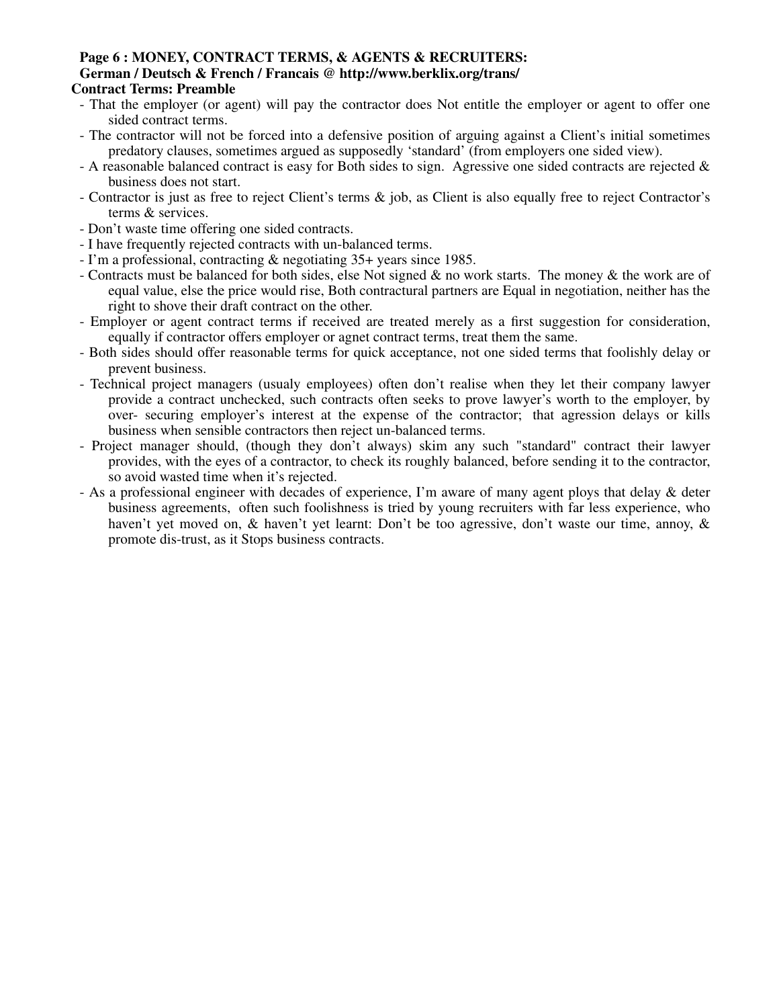#### **Page 6 : MONEY, CONTRACT TERMS, & AGENTS & RECRUITERS: German / Deutsch & French / Francais @ http://www.berklix.org/trans/ Contract Terms: Preamble**

- That the employer (or agent) will pay the contractor does Not entitle the employer or agent to offer one sided contract terms.
- The contractor will not be forced into a defensive position of arguing against a Client's initial sometimes predatory clauses, sometimes argued as supposedly 'standard' (from employers one sided view).
- A reasonable balanced contract is easy for Both sides to sign. Agressive one sided contracts are rejected  $\&$ business does not start.
- Contractor is just as free to reject Client's terms & job, as Client is also equally free to reject Contractor's terms & services.
- Don't waste time offering one sided contracts.
- I have frequently rejected contracts with un-balanced terms.
- I'm a professional, contracting & negotiating 35+ years since 1985.
- Contracts must be balanced for both sides, else Not signed & no work starts. The money & the work are of equal value, else the price would rise, Both contractural partners are Equal in negotiation, neither has the right to shove their draft contract on the other.
- Employer or agent contract terms if received are treated merely as a first suggestion for consideration, equally if contractor offers employer or agnet contract terms, treat them the same.
- Both sides should offer reasonable terms for quick acceptance, not one sided terms that foolishly delay or prevent business.
- Technical project managers (usualy employees) often don't realise when they let their company lawyer provide a contract unchecked, such contracts often seeks to prove lawyer's worth to the employer, by over- securing employer's interest at the expense of the contractor; that agression delays or kills business when sensible contractors then reject un-balanced terms.
- Project manager should, (though they don't always) skim any such "standard" contract their lawyer provides, with the eyes of a contractor, to check its roughly balanced, before sending it to the contractor, so avoid wasted time when it's rejected.
- As a professional engineer with decades of experience, I'm aware of many agent ploys that delay & deter business agreements, often such foolishness is tried by young recruiters with far less experience, who haven't yet moved on, & haven't yet learnt: Don't be too agressive, don't waste our time, annoy, & promote dis-trust, as it Stops business contracts.